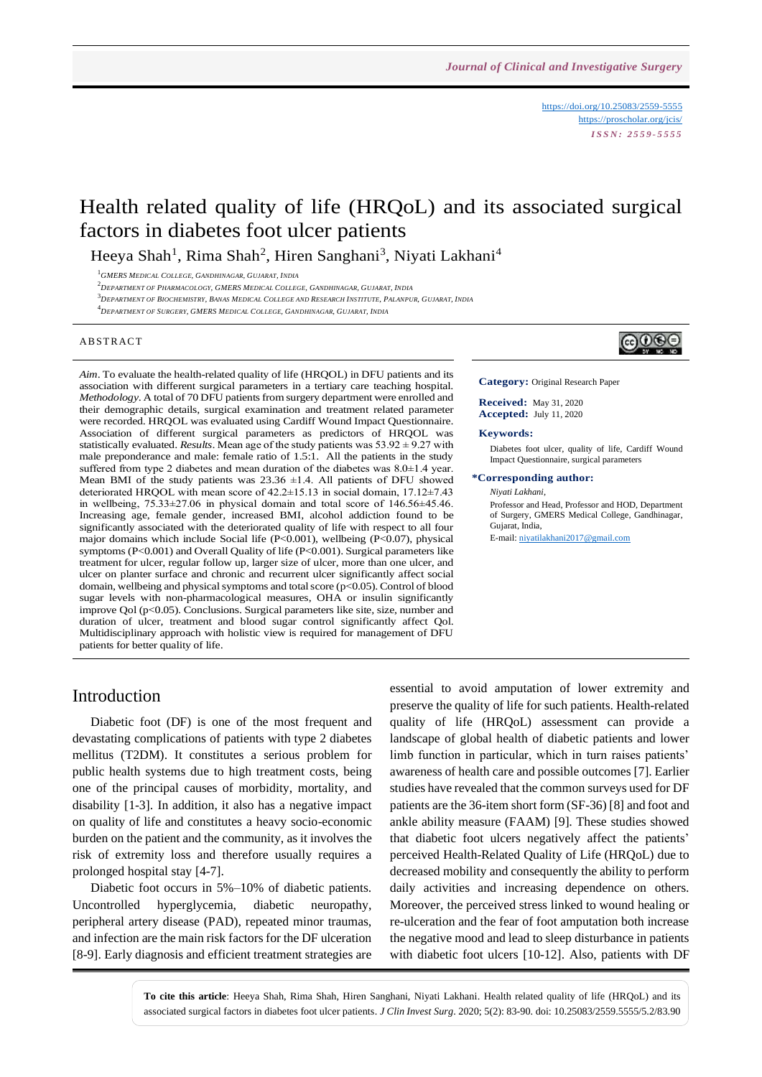<https://doi.org/10.25083/2559-5555> <https://proscholar.org/jcis/> *I S S N : 2 5 5 9 - 5 5 5 5*

# Health related quality of life (HRQoL) and its associated surgical factors in diabetes foot ulcer patients

Heeya Shah<sup>1</sup>, Rima Shah<sup>2</sup>, Hiren Sanghani<sup>3</sup>, Niyati Lakhani<sup>4</sup>

<sup>1</sup>*GMERS MEDICAL COLLEGE, GANDHINAGAR, GUJARAT, INDIA*

<sup>2</sup>*DEPARTMENT OF PHARMACOLOGY, GMERS MEDICAL COLLEGE, GANDHINAGAR, GUJARAT, INDIA*

 $^3$  DEPARTMENT OF BIOCHEMISTRY, BANAS MEDICAL COLLEGE AND RESEARCH INSTITUTE, PALANPUR, GUJARAT, INDIA

<sup>4</sup>*DEPARTMENT OF SURGERY, GMERS MEDICAL COLLEGE, GANDHINAGAR, GUJARAT, INDIA*

#### **ABSTRACT**

*Aim*. To evaluate the health-related quality of life (HRQOL) in DFU patients and its association with different surgical parameters in a tertiary care teaching hospital. *Methodology*. A total of 70 DFU patients from surgery department were enrolled and their demographic details, surgical examination and treatment related parameter were recorded. HRQOL was evaluated using Cardiff Wound Impact Questionnaire. Association of different surgical parameters as predictors of HRQOL was statistically evaluated. *Results*. Mean age of the study patients was 53.92 ± 9.27 with male preponderance and male: female ratio of 1.5:1. All the patients in the study suffered from type 2 diabetes and mean duration of the diabetes was 8.0±1.4 year. Mean BMI of the study patients was  $23.36 \pm 1.4$ . All patients of DFU showed deteriorated HRQOL with mean score of 42.2±15.13 in social domain, 17.12±7.43 in wellbeing, 75.33±27.06 in physical domain and total score of 146.56±45.46. Increasing age, female gender, increased BMI, alcohol addiction found to be significantly associated with the deteriorated quality of life with respect to all four major domains which include Social life (P<0.001), wellbeing (P<0.07), physical symptoms (P<0.001) and Overall Quality of life (P<0.001). Surgical parameters like treatment for ulcer, regular follow up, larger size of ulcer, more than one ulcer, and ulcer on planter surface and chronic and recurrent ulcer significantly affect social domain, wellbeing and physical symptoms and total score (p<0.05). Control of blood sugar levels with non-pharmacological measures, OHA or insulin significantly improve Qol (p<0.05). Conclusions. Surgical parameters like site, size, number and duration of ulcer, treatment and blood sugar control significantly affect Qol. Multidisciplinary approach with holistic view is required for management of DFU patients for better quality of life.



**Category:** Original Research Paper

**Received:** May 31, 2020 **Accepted:** July 11, 2020

#### **Keywords:**

Diabetes foot ulcer, quality of life, Cardiff Wound Impact Questionnaire, surgical parameters

#### **\*Corresponding author:**

*Niyati Lakhani*,

Professor and Head, Professor and HOD, Department of Surgery, GMERS Medical College, Gandhinagar, Gujarat, India,

E-mail[: niyatilakhani2017@gmail.com](mailto:niyatilakhani2017@gmail.com)

### Introduction

Diabetic foot (DF) is one of the most frequent and devastating complications of patients with type 2 diabetes mellitus (T2DM). It constitutes a serious problem for public health systems due to high treatment costs, being one of the principal causes of morbidity, mortality, and disability [1-3]. In addition, it also has a negative impact on quality of life and constitutes a heavy socio-economic burden on the patient and the community, as it involves the risk of extremity loss and therefore usually requires a prolonged hospital stay [4-7].

Diabetic foot occurs in 5%–10% of diabetic patients. Uncontrolled hyperglycemia, diabetic neuropathy, peripheral artery disease (PAD), repeated minor traumas, and infection are the main risk factors for the DF ulceration [8-9]. Early diagnosis and efficient treatment strategies are essential to avoid amputation of lower extremity and preserve the quality of life for such patients. Health-related quality of life (HRQoL) assessment can provide a landscape of global health of diabetic patients and lower limb function in particular, which in turn raises patients' awareness of health care and possible outcomes [7]. Earlier studies have revealed that the common surveys used for DF patients are the 36-item short form (SF-36) [8] and foot and ankle ability measure (FAAM) [9]. These studies showed that diabetic foot ulcers negatively affect the patients' perceived Health-Related Quality of Life (HRQoL) due to decreased mobility and consequently the ability to perform daily activities and increasing dependence on others. Moreover, the perceived stress linked to wound healing or re-ulceration and the fear of foot amputation both increase the negative mood and lead to sleep disturbance in patients with diabetic foot ulcers [10-12]. Also, patients with DF

**To cite this article**: Heeya Shah, Rima Shah, Hiren Sanghani, Niyati Lakhani. Health related quality of life (HRQoL) and its associated surgical factors in diabetes foot ulcer patients. *J Clin Invest Surg*. 2020; 5(2): 83-90. doi: 10.25083/2559.5555/5.2/83.90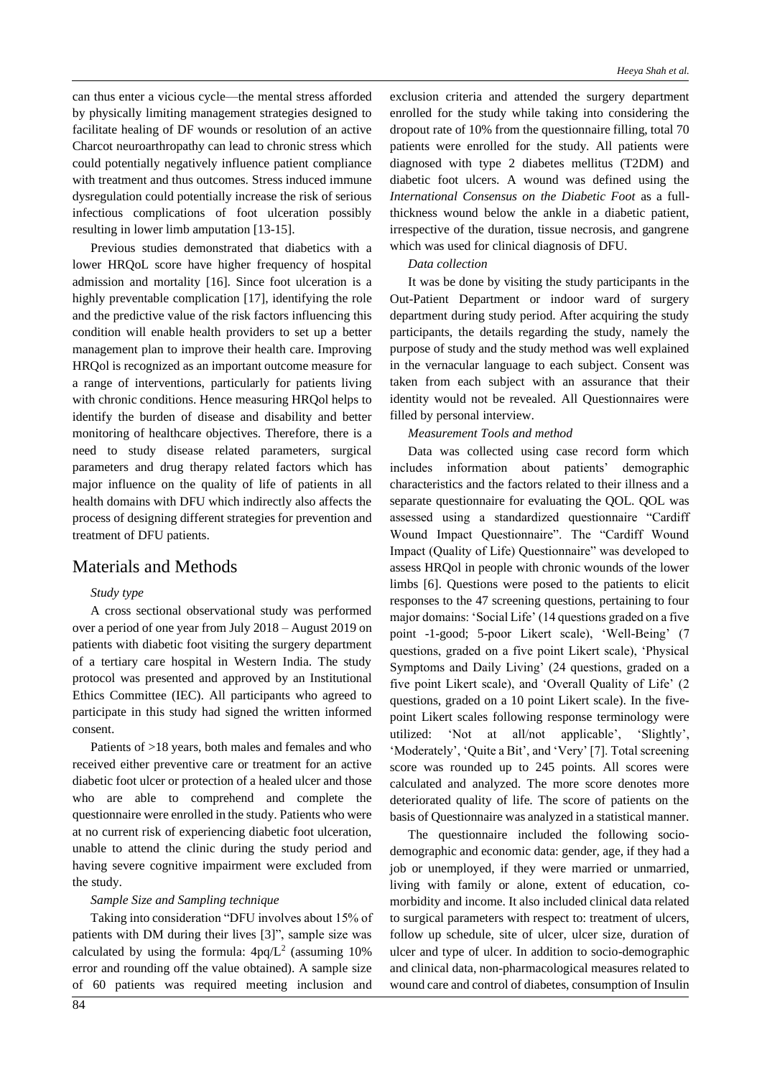can thus enter a vicious cycle—the mental stress afforded by physically limiting management strategies designed to facilitate healing of DF wounds or resolution of an active Charcot neuroarthropathy can lead to chronic stress which could potentially negatively influence patient compliance with treatment and thus outcomes. Stress induced immune dysregulation could potentially increase the risk of serious infectious complications of foot ulceration possibly resulting in lower limb amputation [13-15].

Previous studies demonstrated that diabetics with a lower HRQoL score have higher frequency of hospital admission and mortality [16]. Since foot ulceration is a highly preventable complication [17], identifying the role and the predictive value of the risk factors influencing this condition will enable health providers to set up a better management plan to improve their health care. Improving HRQol is recognized as an important outcome measure for a range of interventions, particularly for patients living with chronic conditions. Hence measuring HRQol helps to identify the burden of disease and disability and better monitoring of healthcare objectives. Therefore, there is a need to study disease related parameters, surgical parameters and drug therapy related factors which has major influence on the quality of life of patients in all health domains with DFU which indirectly also affects the process of designing different strategies for prevention and treatment of DFU patients.

### Materials and Methods

### *Study type*

A cross sectional observational study was performed over a period of one year from July 2018 – August 2019 on patients with diabetic foot visiting the surgery department of a tertiary care hospital in Western India. The study protocol was presented and approved by an Institutional Ethics Committee (IEC). All participants who agreed to participate in this study had signed the written informed consent.

Patients of >18 years, both males and females and who received either preventive care or treatment for an active diabetic foot ulcer or protection of a healed ulcer and those who are able to comprehend and complete the questionnaire were enrolled in the study. Patients who were at no current risk of experiencing diabetic foot ulceration, unable to attend the clinic during the study period and having severe cognitive impairment were excluded from the study.

### *Sample Size and Sampling technique*

Taking into consideration "DFU involves about 15% of patients with DM during their lives [3]", sample size was calculated by using the formula:  $4pq/L^2$  (assuming 10% error and rounding off the value obtained). A sample size of 60 patients was required meeting inclusion and

exclusion criteria and attended the surgery department enrolled for the study while taking into considering the dropout rate of 10% from the questionnaire filling, total 70 patients were enrolled for the study. All patients were diagnosed with type 2 diabetes mellitus (T2DM) and diabetic foot ulcers. A wound was defined using the *International Consensus on the Diabetic Foot* as a fullthickness wound below the ankle in a diabetic patient, irrespective of the duration, tissue necrosis, and gangrene which was used for clinical diagnosis of DFU.

### *Data collection*

It was be done by visiting the study participants in the Out-Patient Department or indoor ward of surgery department during study period. After acquiring the study participants, the details regarding the study, namely the purpose of study and the study method was well explained in the vernacular language to each subject. Consent was taken from each subject with an assurance that their identity would not be revealed. All Questionnaires were filled by personal interview.

#### *Measurement Tools and method*

Data was collected using case record form which includes information about patients' demographic characteristics and the factors related to their illness and a separate questionnaire for evaluating the QOL. QOL was assessed using a standardized questionnaire "Cardiff Wound Impact Questionnaire". The "Cardiff Wound Impact (Quality of Life) Questionnaire" was developed to assess HRQol in people with chronic wounds of the lower limbs [6]. Questions were posed to the patients to elicit responses to the 47 screening questions, pertaining to four major domains: 'Social Life' (14 questions graded on a five point -1-good; 5-poor Likert scale), 'Well-Being' (7 questions, graded on a five point Likert scale), 'Physical Symptoms and Daily Living' (24 questions, graded on a five point Likert scale), and 'Overall Quality of Life' (2 questions, graded on a 10 point Likert scale). In the fivepoint Likert scales following response terminology were utilized: 'Not at all/not applicable', 'Slightly', 'Moderately', 'Quite a Bit', and 'Very' [7]. Total screening score was rounded up to 245 points. All scores were calculated and analyzed. The more score denotes more deteriorated quality of life. The score of patients on the basis of Questionnaire was analyzed in a statistical manner.

The questionnaire included the following sociodemographic and economic data: gender, age, if they had a job or unemployed, if they were married or unmarried, living with family or alone, extent of education, comorbidity and income. It also included clinical data related to surgical parameters with respect to: treatment of ulcers, follow up schedule, site of ulcer, ulcer size, duration of ulcer and type of ulcer. In addition to socio-demographic and clinical data, non-pharmacological measures related to wound care and control of diabetes, consumption of Insulin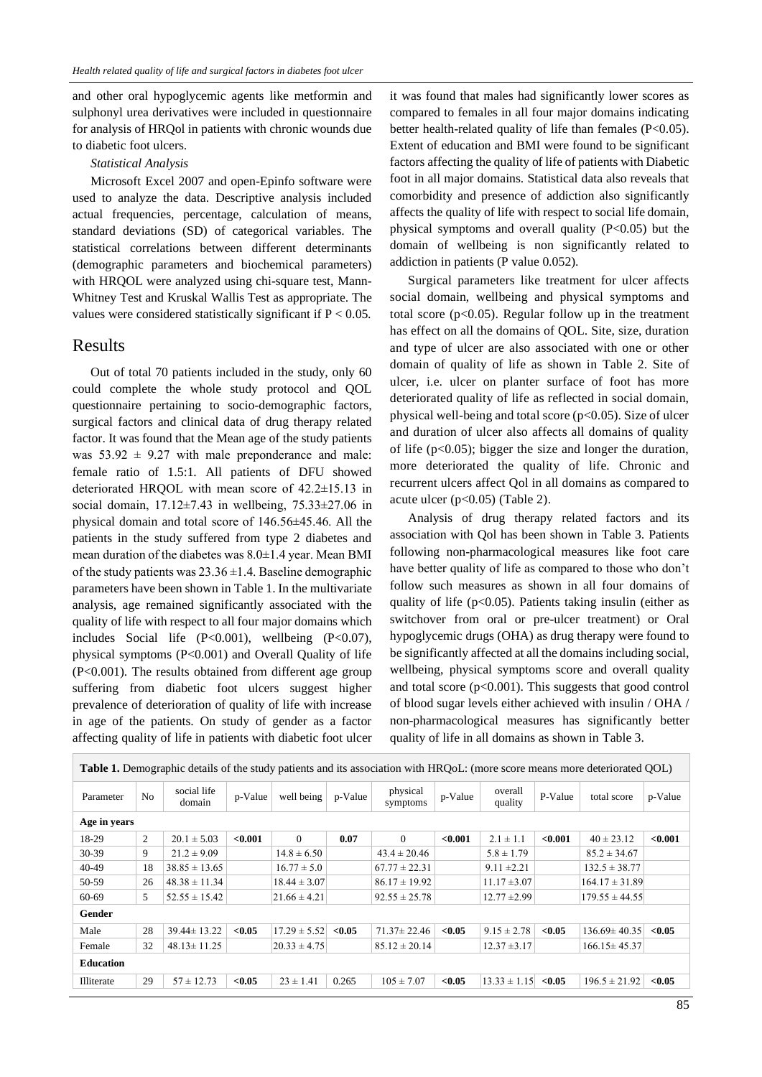and other oral hypoglycemic agents like metformin and sulphonyl urea derivatives were included in questionnaire for analysis of HRQol in patients with chronic wounds due to diabetic foot ulcers.

#### *Statistical Analysis*

Microsoft Excel 2007 and open-Epinfo software were used to analyze the data. Descriptive analysis included actual frequencies, percentage, calculation of means, standard deviations (SD) of categorical variables. The statistical correlations between different determinants (demographic parameters and biochemical parameters) with HRQOL were analyzed using chi-square test, Mann-Whitney Test and Kruskal Wallis Test as appropriate. The values were considered statistically significant if P < 0.05.

### Results

Out of total 70 patients included in the study, only 60 could complete the whole study protocol and QOL questionnaire pertaining to socio-demographic factors, surgical factors and clinical data of drug therapy related factor. It was found that the Mean age of the study patients was  $53.92 \pm 9.27$  with male preponderance and male: female ratio of 1.5:1. All patients of DFU showed deteriorated HRQOL with mean score of 42.2±15.13 in social domain,  $17.12\pm7.43$  in wellbeing,  $75.33\pm27.06$  in physical domain and total score of 146.56±45.46. All the patients in the study suffered from type 2 diabetes and mean duration of the diabetes was 8.0±1.4 year. Mean BMI of the study patients was  $23.36 \pm 1.4$ . Baseline demographic parameters have been shown in Table 1. In the multivariate analysis, age remained significantly associated with the quality of life with respect to all four major domains which includes Social life (P<0.001), wellbeing (P<0.07), physical symptoms (P<0.001) and Overall Quality of life (P<0.001). The results obtained from different age group suffering from diabetic foot ulcers suggest higher prevalence of deterioration of quality of life with increase in age of the patients. On study of gender as a factor affecting quality of life in patients with diabetic foot ulcer it was found that males had significantly lower scores as compared to females in all four major domains indicating better health-related quality of life than females (P<0.05). Extent of education and BMI were found to be significant factors affecting the quality of life of patients with Diabetic foot in all major domains. Statistical data also reveals that comorbidity and presence of addiction also significantly affects the quality of life with respect to social life domain, physical symptoms and overall quality  $(P<0.05)$  but the domain of wellbeing is non significantly related to addiction in patients (P value 0.052).

Surgical parameters like treatment for ulcer affects social domain, wellbeing and physical symptoms and total score ( $p<0.05$ ). Regular follow up in the treatment has effect on all the domains of QOL. Site, size, duration and type of ulcer are also associated with one or other domain of quality of life as shown in Table 2. Site of ulcer, i.e. ulcer on planter surface of foot has more deteriorated quality of life as reflected in social domain, physical well-being and total score ( $p<0.05$ ). Size of ulcer and duration of ulcer also affects all domains of quality of life ( $p<0.05$ ); bigger the size and longer the duration, more deteriorated the quality of life. Chronic and recurrent ulcers affect Qol in all domains as compared to acute ulcer ( $p<0.05$ ) (Table 2).

Analysis of drug therapy related factors and its association with Qol has been shown in Table 3. Patients following non-pharmacological measures like foot care have better quality of life as compared to those who don't follow such measures as shown in all four domains of quality of life ( $p<0.05$ ). Patients taking insulin (either as switchover from oral or pre-ulcer treatment) or Oral hypoglycemic drugs (OHA) as drug therapy were found to be significantly affected at all the domains including social, wellbeing, physical symptoms score and overall quality and total score  $(p<0.001)$ . This suggests that good control of blood sugar levels either achieved with insulin / OHA / non-pharmacological measures has significantly better quality of life in all domains as shown in Table 3.

| <b>Table 1.</b> Demographic details of the study patients and its association with HRQoL: (more score means more deteriorated QOL) |                |                       |         |                    |         |                      |         |                    |         |                    |         |
|------------------------------------------------------------------------------------------------------------------------------------|----------------|-----------------------|---------|--------------------|---------|----------------------|---------|--------------------|---------|--------------------|---------|
| Parameter                                                                                                                          | N <sub>o</sub> | social life<br>domain | p-Value | well being         | p-Value | physical<br>symptoms | p-Value | overall<br>quality | P-Value | total score        | p-Value |
| Age in years                                                                                                                       |                |                       |         |                    |         |                      |         |                    |         |                    |         |
| 18-29                                                                                                                              | $\overline{2}$ | $20.1 \pm 5.03$       | < 0.001 | $\Omega$           | 0.07    | $\Omega$             | < 0.001 | $2.1 \pm 1.1$      | < 0.001 | $40 \pm 23.12$     | < 0.001 |
| 30-39                                                                                                                              | 9              | $21.2 \pm 9.09$       |         | $14.8 \pm 6.50$    |         | $43.4 \pm 20.46$     |         | $5.8 \pm 1.79$     |         | $85.2 \pm 34.67$   |         |
| 40-49                                                                                                                              | 18             | $38.85 \pm 13.65$     |         | $16.77 \pm 5.0$    |         | $67.77 \pm 22.31$    |         | $9.11 \pm 2.21$    |         | $132.5 \pm 38.77$  |         |
| 50-59                                                                                                                              | 26             | $48.38 \pm 11.34$     |         | $18.44 \pm 3.07$   |         | $86.17 \pm 19.92$    |         | $11.17 \pm 3.07$   |         | $164.17 \pm 31.89$ |         |
| 60-69                                                                                                                              | 5              | $52.55 \pm 15.42$     |         | $21.66 \pm 4.21$   |         | $92.55 \pm 25.78$    |         | $12.77 \pm 2.99$   |         | $179.55 \pm 44.55$ |         |
| Gender                                                                                                                             |                |                       |         |                    |         |                      |         |                    |         |                    |         |
| Male                                                                                                                               | 28             | $39.44 \pm 13.22$     | < 0.05  | $17.29 \pm 5.52$   | < 0.05  | $71.37 \pm 22.46$    | < 0.05  | $9.15 \pm 2.78$    | < 0.05  | $136.69 \pm 40.35$ | < 0.05  |
| Female                                                                                                                             | 32             | $48.13 \pm 11.25$     |         | $ 20.33 \pm 4.75 $ |         | $85.12 \pm 20.14$    |         | $12.37 \pm 3.17$   |         | $166.15 \pm 45.37$ |         |
| <b>Education</b>                                                                                                                   |                |                       |         |                    |         |                      |         |                    |         |                    |         |
| Illiterate                                                                                                                         | 29             | $57 \pm 12.73$        | < 0.05  | $23 \pm 1.41$      | 0.265   | $105 \pm 7.07$       | < 0.05  | $13.33 \pm 1.15$   | < 0.05  | $196.5 \pm 21.92$  | < 0.05  |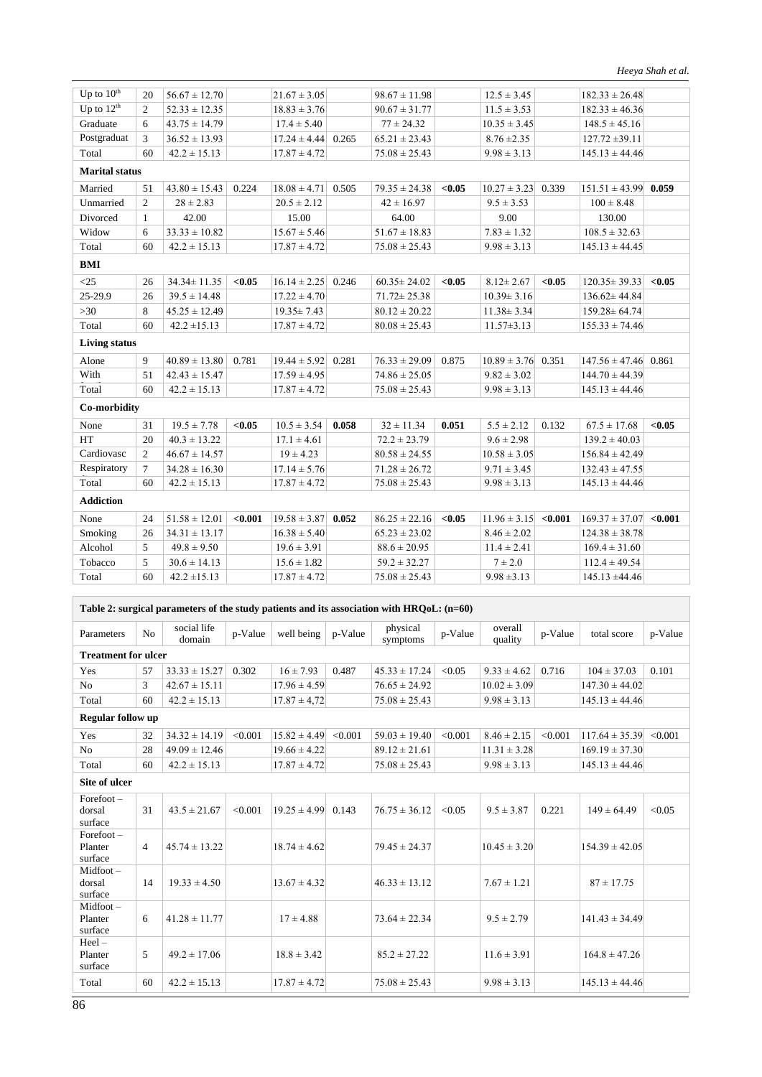| Up to $10th$          | 20             | $56.67 \pm 12.70$ |         | $21.67 \pm 3.05$ |       | $98.67 \pm 11.98$ |        | $12.5 \pm 3.45$  |         | $182.33 \pm 26.48$       |         |  |
|-----------------------|----------------|-------------------|---------|------------------|-------|-------------------|--------|------------------|---------|--------------------------|---------|--|
| Up to $12th$          | 2              | $52.33 \pm 12.35$ |         | $18.83 \pm 3.76$ |       | $90.67 \pm 31.77$ |        | $11.5 \pm 3.53$  |         | $182.33 \pm 46.36$       |         |  |
| Graduate              | 6              | $43.75 \pm 14.79$ |         | $17.4 \pm 5.40$  |       | $77 \pm 24.32$    |        | $10.35 \pm 3.45$ |         | $148.5 \pm 45.16$        |         |  |
| Postgraduat           | 3              | $36.52 \pm 13.93$ |         | $17.24 \pm 4.44$ | 0.265 | $65.21 \pm 23.43$ |        | $8.76 \pm 2.35$  |         | $127.72 \pm 39.11$       |         |  |
| Total                 | 60             | $42.2 \pm 15.13$  |         | $17.87 \pm 4.72$ |       | $75.08 \pm 25.43$ |        | $9.98 \pm 3.13$  |         | $145.13 \pm 44.46$       |         |  |
| <b>Marital status</b> |                |                   |         |                  |       |                   |        |                  |         |                          |         |  |
| Married               | 51             | $43.80 \pm 15.43$ | 0.224   | $18.08 \pm 4.71$ | 0.505 | $79.35 \pm 24.38$ | < 0.05 | $10.27 \pm 3.23$ | 0.339   | $151.51 \pm 43.99$ 0.059 |         |  |
| Unmarried             | $\mathfrak{2}$ | $28 \pm 2.83$     |         | $20.5 \pm 2.12$  |       | $42 \pm 16.97$    |        | $9.5 \pm 3.53$   |         | $100 \pm 8.48$           |         |  |
| Divorced              | $\mathbf{1}$   | 42.00             |         | 15.00            |       | 64.00             |        | 9.00             |         | 130.00                   |         |  |
| Widow                 | 6              | $33.33 \pm 10.82$ |         | $15.67 \pm 5.46$ |       | $51.67 \pm 18.83$ |        | $7.83 \pm 1.32$  |         | $108.5 \pm 32.63$        |         |  |
| Total                 | 60             | $42.2 \pm 15.13$  |         | $17.87 \pm 4.72$ |       | $75.08 \pm 25.43$ |        | $9.98 \pm 3.13$  |         | $145.13 \pm 44.45$       |         |  |
| <b>BMI</b>            |                |                   |         |                  |       |                   |        |                  |         |                          |         |  |
| $\leq$ 25             | 26             | $34.34 \pm 11.35$ | < 0.05  | $16.14 \pm 2.25$ | 0.246 | $60.35 \pm 24.02$ | < 0.05 | $8.12 \pm 2.67$  | < 0.05  | $120.35 \pm 39.33$       | < 0.05  |  |
| 25-29.9               | 26             | $39.5 \pm 14.48$  |         | $17.22 \pm 4.70$ |       | $71.72 \pm 25.38$ |        | $10.39 \pm 3.16$ |         | $136.62 \pm 44.84$       |         |  |
| $>30$                 | 8              | $45.25 \pm 12.49$ |         | $19.35 \pm 7.43$ |       | $80.12 \pm 20.22$ |        | $11.38 \pm 3.34$ |         | $159.28 \pm 64.74$       |         |  |
| Total                 | 60             | $42.2 \pm 15.13$  |         | $17.87 \pm 4.72$ |       | $80.08 \pm 25.43$ |        | $11.57 \pm 3.13$ |         | $155.33 \pm 74.46$       |         |  |
| <b>Living status</b>  |                |                   |         |                  |       |                   |        |                  |         |                          |         |  |
| Alone                 | 9              | $40.89 \pm 13.80$ | 0.781   | $19.44 \pm 5.92$ | 0.281 | $76.33 \pm 29.09$ | 0.875  | $10.89 \pm 3.76$ | 0.351   | $147.56 \pm 47.46$ 0.861 |         |  |
| With                  | 51             | $42.43 \pm 15.47$ |         | $17.59 \pm 4.95$ |       | $74.86 \pm 25.05$ |        | $9.82 \pm 3.02$  |         | $144.70 \pm 44.39$       |         |  |
| Total                 | 60             | $42.2 \pm 15.13$  |         | $17.87 \pm 4.72$ |       | $75.08 \pm 25.43$ |        | $9.98 \pm 3.13$  |         | $145.13 \pm 44.46$       |         |  |
| Co-morbidity          |                |                   |         |                  |       |                   |        |                  |         |                          |         |  |
| None                  | 31             | $19.5 \pm 7.78$   | < 0.05  | $10.5 \pm 3.54$  | 0.058 | $32 \pm 11.34$    | 0.051  | $5.5 \pm 2.12$   | 0.132   | $67.5 \pm 17.68$         | < 0.05  |  |
| <b>HT</b>             | 20             | $40.3 \pm 13.22$  |         | $17.1 \pm 4.61$  |       | $72.2 \pm 23.79$  |        | $9.6 \pm 2.98$   |         | $139.2 \pm 40.03$        |         |  |
| Cardiovasc            | 2              | $46.67 \pm 14.57$ |         | $19 \pm 4.23$    |       | $80.58 \pm 24.55$ |        | $10.58 \pm 3.05$ |         | $156.84 \pm 42.49$       |         |  |
| Respiratory           | $\tau$         | $34.28 \pm 16.30$ |         | $17.14 \pm 5.76$ |       | $71.28 \pm 26.72$ |        | $9.71 \pm 3.45$  |         | $132.43 \pm 47.55$       |         |  |
| Total                 | 60             | $42.2 \pm 15.13$  |         | $17.87 \pm 4.72$ |       | $75.08 \pm 25.43$ |        | $9.98 \pm 3.13$  |         | $145.13 \pm 44.46$       |         |  |
| <b>Addiction</b>      |                |                   |         |                  |       |                   |        |                  |         |                          |         |  |
| None                  | 24             | $51.58 \pm 12.01$ | < 0.001 | $19.58 \pm 3.87$ | 0.052 | $86.25 \pm 22.16$ | < 0.05 | $11.96 \pm 3.15$ | < 0.001 | $169.37 \pm 37.07$       | < 0.001 |  |
| Smoking               | 26             | $34.31 \pm 13.17$ |         | $16.38 \pm 5.40$ |       | $65.23 \pm 23.02$ |        | $8.46 \pm 2.02$  |         | $124.38 \pm 38.78$       |         |  |
| Alcohol               | 5              | $49.8 \pm 9.50$   |         | $19.6 \pm 3.91$  |       | $88.6 \pm 20.95$  |        | $11.4 \pm 2.41$  |         | $169.4 \pm 31.60$        |         |  |
| Tobacco               | 5              | $30.6 \pm 14.13$  |         | $15.6 \pm 1.82$  |       | $59.2 \pm 32.27$  |        | $7 \pm 2.0$      |         | $112.4 \pm 49.54$        |         |  |
| Total                 | 60             | $42.2 \pm 15.13$  |         | $17.87 \pm 4.72$ |       | $75.08 \pm 25.43$ |        | $9.98 \pm 3.13$  |         | $145.13 \pm 44.46$       |         |  |
|                       |                |                   |         |                  |       |                   |        |                  |         |                          |         |  |

| Table 2: surgical parameters of the study patients and its association with $HRQoL$ : $(n=60)$ |  |  |  |  |  |  |  |  |
|------------------------------------------------------------------------------------------------|--|--|--|--|--|--|--|--|
|------------------------------------------------------------------------------------------------|--|--|--|--|--|--|--|--|

| Parameters                         | N <sub>o</sub> | social life<br>domain | p-Value | well being             | p-Value | physical<br>symptoms | p-Value | overall<br>quality | p-Value | total score        | p-Value |  |
|------------------------------------|----------------|-----------------------|---------|------------------------|---------|----------------------|---------|--------------------|---------|--------------------|---------|--|
| <b>Treatment for ulcer</b>         |                |                       |         |                        |         |                      |         |                    |         |                    |         |  |
| Yes                                | 57             | $33.33 \pm 15.27$     | 0.302   | $16 \pm 7.93$          | 0.487   | $45.33 \pm 17.24$    | < 0.05  | $9.33 \pm 4.62$    | 0.716   | $104 \pm 37.03$    | 0.101   |  |
| No                                 | 3              | $42.67 \pm 15.11$     |         | $17.96 \pm 4.59$       |         | $76.65 \pm 24.92$    |         | $10.02 \pm 3.09$   |         | $147.30 \pm 44.02$ |         |  |
| Total                              | 60             | $42.2 \pm 15.13$      |         | $17.87 \pm 4.72$       |         | $75.08 \pm 25.43$    |         | $9.98 \pm 3.13$    |         | $145.13 \pm 44.46$ |         |  |
| <b>Regular follow up</b>           |                |                       |         |                        |         |                      |         |                    |         |                    |         |  |
| Yes                                | 32             | $34.32 \pm 14.19$     | < 0.001 | $15.82 \pm 4.49$       | < 0.001 | $59.03 \pm 19.40$    | < 0.001 | $8.46 \pm 2.15$    | < 0.001 | $117.64 \pm 35.39$ | < 0.001 |  |
| N <sub>o</sub>                     | 28             | $49.09 \pm 12.46$     |         | $19.66 \pm 4.22$       |         | $89.12 \pm 21.61$    |         | $11.31 \pm 3.28$   |         | $169.19 \pm 37.30$ |         |  |
| Total                              | 60             | $42.2 \pm 15.13$      |         | $17.87 \pm 4.72$       |         | $75.08 \pm 25.43$    |         | $9.98 \pm 3.13$    |         | $145.13 \pm 44.46$ |         |  |
| <b>Site of ulcer</b>               |                |                       |         |                        |         |                      |         |                    |         |                    |         |  |
| $Forefoot -$<br>dorsal<br>surface  | 31             | $43.5 \pm 21.67$      | < 0.001 | $19.25 \pm 4.99$ 0.143 |         | $76.75 \pm 36.12$    | < 0.05  | $9.5 \pm 3.87$     | 0.221   | $149 \pm 64.49$    | < 0.05  |  |
| $Forefoot -$<br>Planter<br>surface | $\overline{4}$ | $45.74 \pm 13.22$     |         | $18.74 \pm 4.62$       |         | $79.45 \pm 24.37$    |         | $10.45 \pm 3.20$   |         | $154.39 \pm 42.05$ |         |  |
| Midfoot-<br>dorsal<br>surface      | 14             | $19.33 \pm 4.50$      |         | $13.67 \pm 4.32$       |         | $46.33 \pm 13.12$    |         | $7.67 \pm 1.21$    |         | $87 \pm 17.75$     |         |  |
| $Midfoot-$<br>Planter<br>surface   | 6              | $41.28 \pm 11.77$     |         | $17 \pm 4.88$          |         | $73.64 \pm 22.34$    |         | $9.5 \pm 2.79$     |         | $141.43 \pm 34.49$ |         |  |
| $Heel -$<br>Planter<br>surface     | 5              | $49.2 \pm 17.06$      |         | $18.8 \pm 3.42$        |         | $85.2 \pm 27.22$     |         | $11.6 \pm 3.91$    |         | $164.8 \pm 47.26$  |         |  |
| Total                              | 60             | $42.2 \pm 15.13$      |         | $17.87 \pm 4.72$       |         | $75.08 \pm 25.43$    |         | $9.98 \pm 3.13$    |         | $145.13 \pm 44.46$ |         |  |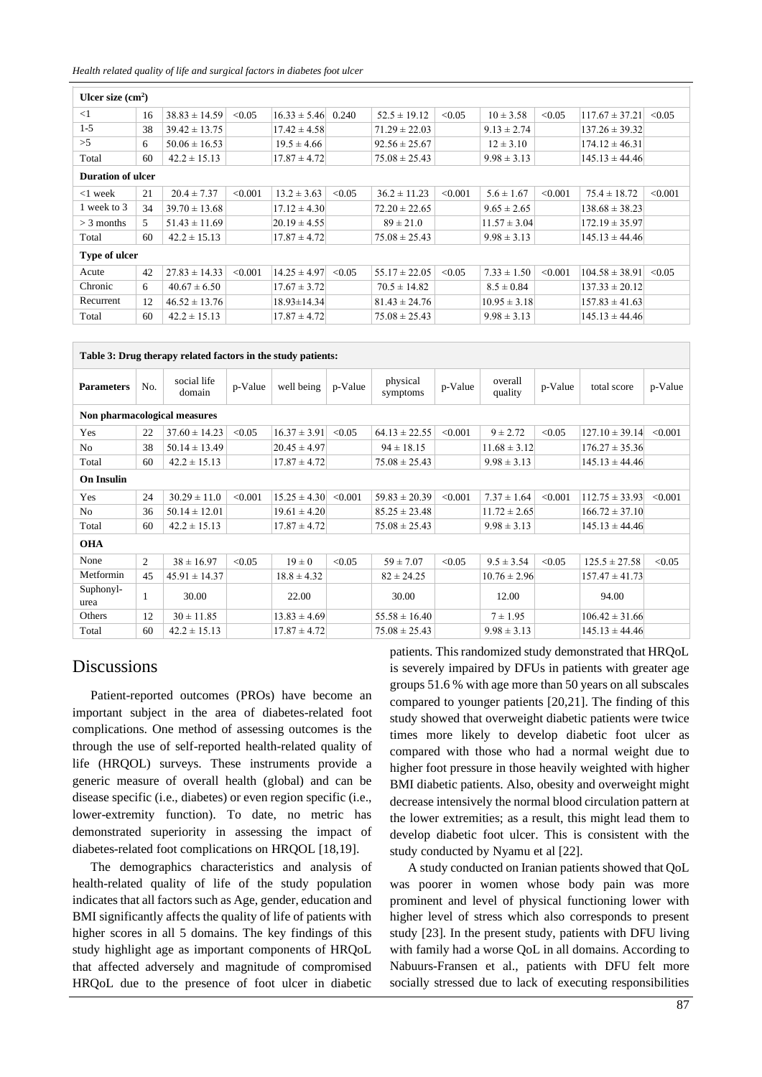*Health related quality of life and surgical factors in diabetes foot ulcer*

| Ulcer size $(cm2)$ |    |                   |         |                        |        |                   |         |                  |         |                    |         |  |
|--------------------|----|-------------------|---------|------------------------|--------|-------------------|---------|------------------|---------|--------------------|---------|--|
| $\leq$ 1           | 16 | $38.83 \pm 14.59$ | < 0.05  | $16.33 \pm 5.46$ 0.240 |        | $52.5 \pm 19.12$  | < 0.05  | $10 \pm 3.58$    | < 0.05  | $117.67 \pm 37.21$ | < 0.05  |  |
| $1 - 5$            | 38 | $39.42 \pm 13.75$ |         | $17.42 \pm 4.58$       |        | $71.29 \pm 22.03$ |         | $9.13 \pm 2.74$  |         | $137.26 \pm 39.32$ |         |  |
| >5                 | 6  | $50.06 \pm 16.53$ |         | $19.5 \pm 4.66$        |        | $92.56 \pm 25.67$ |         | $12 \pm 3.10$    |         | $174.12 \pm 46.31$ |         |  |
| Total              | 60 | $42.2 \pm 15.13$  |         | $17.87 \pm 4.72$       |        | $75.08 \pm 25.43$ |         | $9.98 \pm 3.13$  |         | $145.13 \pm 44.46$ |         |  |
| Duration of ulcer  |    |                   |         |                        |        |                   |         |                  |         |                    |         |  |
| $<$ 1 week         | 21 | $20.4 \pm 7.37$   | < 0.001 | $13.2 \pm 3.63$        | < 0.05 | $36.2 \pm 11.23$  | < 0.001 | $5.6 \pm 1.67$   | < 0.001 | $75.4 \pm 18.72$   | < 0.001 |  |
| 1 week to 3        | 34 | $39.70 \pm 13.68$ |         | $17.12 \pm 4.30$       |        | $72.20 \pm 22.65$ |         | $9.65 \pm 2.65$  |         | $138.68 \pm 38.23$ |         |  |
| $>$ 3 months       | 5. | $51.43 \pm 11.69$ |         | $20.19 \pm 4.55$       |        | $89 \pm 21.0$     |         | $11.57 \pm 3.04$ |         | $172.19 \pm 35.97$ |         |  |
| Total              | 60 | $42.2 \pm 15.13$  |         | $17.87 \pm 4.72$       |        | $75.08 \pm 25.43$ |         | $9.98 \pm 3.13$  |         | $145.13 \pm 44.46$ |         |  |
| Type of ulcer      |    |                   |         |                        |        |                   |         |                  |         |                    |         |  |
| Acute              | 42 | $27.83 \pm 14.33$ | < 0.001 | $14.25 \pm 4.97$       | < 0.05 | $55.17 \pm 22.05$ | < 0.05  | $7.33 \pm 1.50$  | < 0.001 | $104.58 \pm 38.91$ | < 0.05  |  |
| Chronic            | 6  | $40.67 \pm 6.50$  |         | $17.67 \pm 3.72$       |        | $70.5 \pm 14.82$  |         | $8.5 \pm 0.84$   |         | $137.33 \pm 20.12$ |         |  |
| Recurrent          | 12 | $46.52 \pm 13.76$ |         | $18.93 \pm 14.34$      |        | $81.43 \pm 24.76$ |         | $10.95 \pm 3.18$ |         | $157.83 \pm 41.63$ |         |  |
| Total              | 60 | $42.2 \pm 15.13$  |         | $17.87 \pm 4.72$       |        | $75.08 \pm 25.43$ |         | $9.98 \pm 3.13$  |         | $145.13 \pm 44.46$ |         |  |

| Table 3: Drug therapy related factors in the study patients: |     |                       |         |                  |         |                      |         |                    |         |                    |         |  |
|--------------------------------------------------------------|-----|-----------------------|---------|------------------|---------|----------------------|---------|--------------------|---------|--------------------|---------|--|
| <b>Parameters</b>                                            | No. | social life<br>domain | p-Value | well being       | p-Value | physical<br>symptoms | p-Value | overall<br>quality | p-Value | total score        | p-Value |  |
| Non pharmacological measures                                 |     |                       |         |                  |         |                      |         |                    |         |                    |         |  |
| Yes                                                          | 22  | $37.60 \pm 14.23$     | < 0.05  | $16.37 \pm 3.91$ | < 0.05  | $64.13 \pm 22.55$    | < 0.001 | $9 \pm 2.72$       | < 0.05  | $127.10 \pm 39.14$ | < 0.001 |  |
| N <sub>0</sub>                                               | 38  | $50.14 \pm 13.49$     |         | $20.45 \pm 4.97$ |         | $94 \pm 18.15$       |         | $11.68 \pm 3.12$   |         | $176.27 \pm 35.36$ |         |  |
| Total                                                        | 60  | $42.2 \pm 15.13$      |         | $17.87 \pm 4.72$ |         | $75.08 \pm 25.43$    |         | $9.98 \pm 3.13$    |         | $145.13 \pm 44.46$ |         |  |
| <b>On Insulin</b>                                            |     |                       |         |                  |         |                      |         |                    |         |                    |         |  |
| Yes                                                          | 24  | $30.29 \pm 11.0$      | < 0.001 | $15.25 \pm 4.30$ | < 0.001 | $59.83 \pm 20.39$    | < 0.001 | $7.37 \pm 1.64$    | < 0.001 | $112.75 \pm 33.93$ | < 0.001 |  |
| N <sub>0</sub>                                               | 36  | $50.14 \pm 12.01$     |         | $19.61 \pm 4.20$ |         | $85.25 \pm 23.48$    |         | $11.72 \pm 2.65$   |         | $166.72 \pm 37.10$ |         |  |
| Total                                                        | 60  | $42.2 \pm 15.13$      |         | $17.87 \pm 4.72$ |         | $75.08 \pm 25.43$    |         | $9.98 \pm 3.13$    |         | $145.13 \pm 44.46$ |         |  |
| <b>OHA</b>                                                   |     |                       |         |                  |         |                      |         |                    |         |                    |         |  |
| None                                                         | 2   | $38 \pm 16.97$        | < 0.05  | $19 \pm 0$       | < 0.05  | $59 \pm 7.07$        | < 0.05  | $9.5 \pm 3.54$     | < 0.05  | $125.5 \pm 27.58$  | < 0.05  |  |
| Metformin                                                    | 45  | $45.91 \pm 14.37$     |         | $18.8 \pm 4.32$  |         | $82 \pm 24.25$       |         | $10.76 \pm 2.96$   |         | $157.47 \pm 41.73$ |         |  |
| Suphonyl-<br>urea                                            | 1   | 30.00                 |         | 22.00            |         | 30.00                |         | 12.00              |         | 94.00              |         |  |
| Others                                                       | 12  | $30 \pm 11.85$        |         | $13.83 \pm 4.69$ |         | $55.58 \pm 16.40$    |         | $7 \pm 1.95$       |         | $106.42 \pm 31.66$ |         |  |
| Total                                                        | 60  | $42.2 \pm 15.13$      |         | $17.87 \pm 4.72$ |         | $75.08 \pm 25.43$    |         | $9.98 \pm 3.13$    |         | $145.13 \pm 44.46$ |         |  |

# **Discussions**

Patient-reported outcomes (PROs) have become an important subject in the area of diabetes-related foot complications. One method of assessing outcomes is the through the use of self-reported health-related quality of life (HRQOL) surveys. These instruments provide a generic measure of overall health (global) and can be disease specific (i.e., diabetes) or even region specific (i.e., lower-extremity function). To date, no metric has demonstrated superiority in assessing the impact of diabetes-related foot complications on HRQOL [18,19].

The demographics characteristics and analysis of health-related quality of life of the study population indicates that all factors such as Age, gender, education and BMI significantly affects the quality of life of patients with higher scores in all 5 domains. The key findings of this study highlight age as important components of HRQoL that affected adversely and magnitude of compromised HRQoL due to the presence of foot ulcer in diabetic patients. This randomized study demonstrated that HRQoL is severely impaired by DFUs in patients with greater age groups 51.6 % with age more than 50 years on all subscales compared to younger patients [20,21]. The finding of this study showed that overweight diabetic patients were twice times more likely to develop diabetic foot ulcer as compared with those who had a normal weight due to higher foot pressure in those heavily weighted with higher BMI diabetic patients. Also, obesity and overweight might decrease intensively the normal blood circulation pattern at the lower extremities; as a result, this might lead them to develop diabetic foot ulcer. This is consistent with the study conducted by Nyamu et al [22].

A study conducted on Iranian patients showed that QoL was poorer in women whose body pain was more prominent and level of physical functioning lower with higher level of stress which also corresponds to present study [23]. In the present study, patients with DFU living with family had a worse QoL in all domains. According to Nabuurs-Fransen et al., patients with DFU felt more socially stressed due to lack of executing responsibilities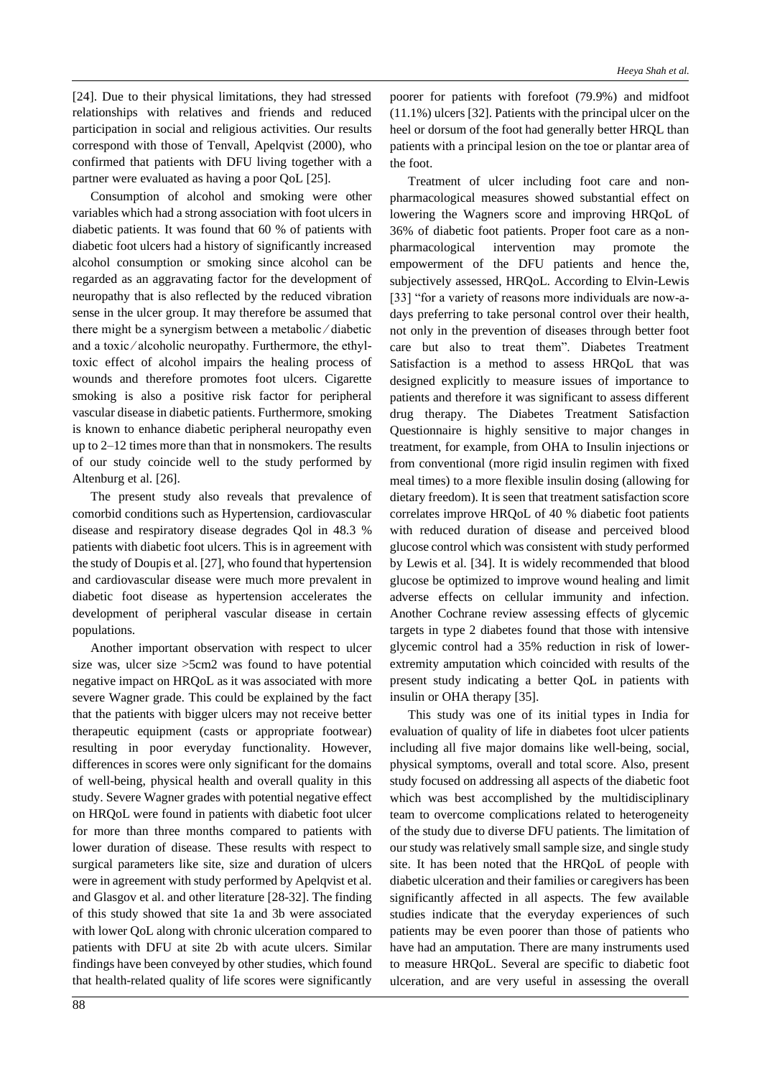[24]. Due to their physical limitations, they had stressed relationships with relatives and friends and reduced participation in social and religious activities. Our results correspond with those of Tenvall, Apelqvist (2000), who confirmed that patients with DFU living together with a partner were evaluated as having a poor QoL [25].

Consumption of alcohol and smoking were other variables which had a strong association with foot ulcers in diabetic patients. It was found that 60 % of patients with diabetic foot ulcers had a history of significantly increased alcohol consumption or smoking since alcohol can be regarded as an aggravating factor for the development of neuropathy that is also reflected by the reduced vibration sense in the ulcer group. It may therefore be assumed that there might be a synergism between a metabolic ⁄ diabetic and a toxic/alcoholic neuropathy. Furthermore, the ethyltoxic effect of alcohol impairs the healing process of wounds and therefore promotes foot ulcers. Cigarette smoking is also a positive risk factor for peripheral vascular disease in diabetic patients. Furthermore, smoking is known to enhance diabetic peripheral neuropathy even up to 2–12 times more than that in nonsmokers. The results of our study coincide well to the study performed by Altenburg et al. [26].

The present study also reveals that prevalence of comorbid conditions such as Hypertension, cardiovascular disease and respiratory disease degrades Qol in 48.3 % patients with diabetic foot ulcers. This is in agreement with the study of Doupis et al. [27], who found that hypertension and cardiovascular disease were much more prevalent in diabetic foot disease as hypertension accelerates the development of peripheral vascular disease in certain populations.

Another important observation with respect to ulcer size was, ulcer size >5cm2 was found to have potential negative impact on HRQoL as it was associated with more severe Wagner grade. This could be explained by the fact that the patients with bigger ulcers may not receive better therapeutic equipment (casts or appropriate footwear) resulting in poor everyday functionality. However, differences in scores were only significant for the domains of well-being, physical health and overall quality in this study. Severe Wagner grades with potential negative effect on HRQoL were found in patients with diabetic foot ulcer for more than three months compared to patients with lower duration of disease. These results with respect to surgical parameters like site, size and duration of ulcers were in agreement with study performed by Apelqvist et al. and Glasgov et al. and other literature [28-32]. The finding of this study showed that site 1a and 3b were associated with lower QoL along with chronic ulceration compared to patients with DFU at site 2b with acute ulcers. Similar findings have been conveyed by other studies, which found that health-related quality of life scores were significantly

poorer for patients with forefoot (79.9%) and midfoot (11.1%) ulcers [32]. Patients with the principal ulcer on the heel or dorsum of the foot had generally better HRQL than patients with a principal lesion on the toe or plantar area of the foot.

Treatment of ulcer including foot care and nonpharmacological measures showed substantial effect on lowering the Wagners score and improving HRQoL of 36% of diabetic foot patients. Proper foot care as a nonpharmacological intervention may promote the empowerment of the DFU patients and hence the, subjectively assessed, HRQoL. According to Elvin-Lewis [33] "for a variety of reasons more individuals are now-adays preferring to take personal control over their health, not only in the prevention of diseases through better foot care but also to treat them". Diabetes Treatment Satisfaction is a method to assess HRQoL that was designed explicitly to measure issues of importance to patients and therefore it was significant to assess different drug therapy. The Diabetes Treatment Satisfaction Questionnaire is highly sensitive to major changes in treatment, for example, from OHA to Insulin injections or from conventional (more rigid insulin regimen with fixed meal times) to a more flexible insulin dosing (allowing for dietary freedom). It is seen that treatment satisfaction score correlates improve HRQoL of 40 % diabetic foot patients with reduced duration of disease and perceived blood glucose control which was consistent with study performed by Lewis et al. [34]. It is widely recommended that blood glucose be optimized to improve wound healing and limit adverse effects on cellular immunity and infection. Another Cochrane review assessing effects of glycemic targets in type 2 diabetes found that those with intensive glycemic control had a 35% reduction in risk of lowerextremity amputation which coincided with results of the present study indicating a better QoL in patients with insulin or OHA therapy [35].

This study was one of its initial types in India for evaluation of quality of life in diabetes foot ulcer patients including all five major domains like well-being, social, physical symptoms, overall and total score. Also, present study focused on addressing all aspects of the diabetic foot which was best accomplished by the multidisciplinary team to overcome complications related to heterogeneity of the study due to diverse DFU patients. The limitation of our study was relatively small sample size, and single study site. It has been noted that the HRQoL of people with diabetic ulceration and their families or caregivers has been significantly affected in all aspects. The few available studies indicate that the everyday experiences of such patients may be even poorer than those of patients who have had an amputation. There are many instruments used to measure HRQoL. Several are specific to diabetic foot ulceration, and are very useful in assessing the overall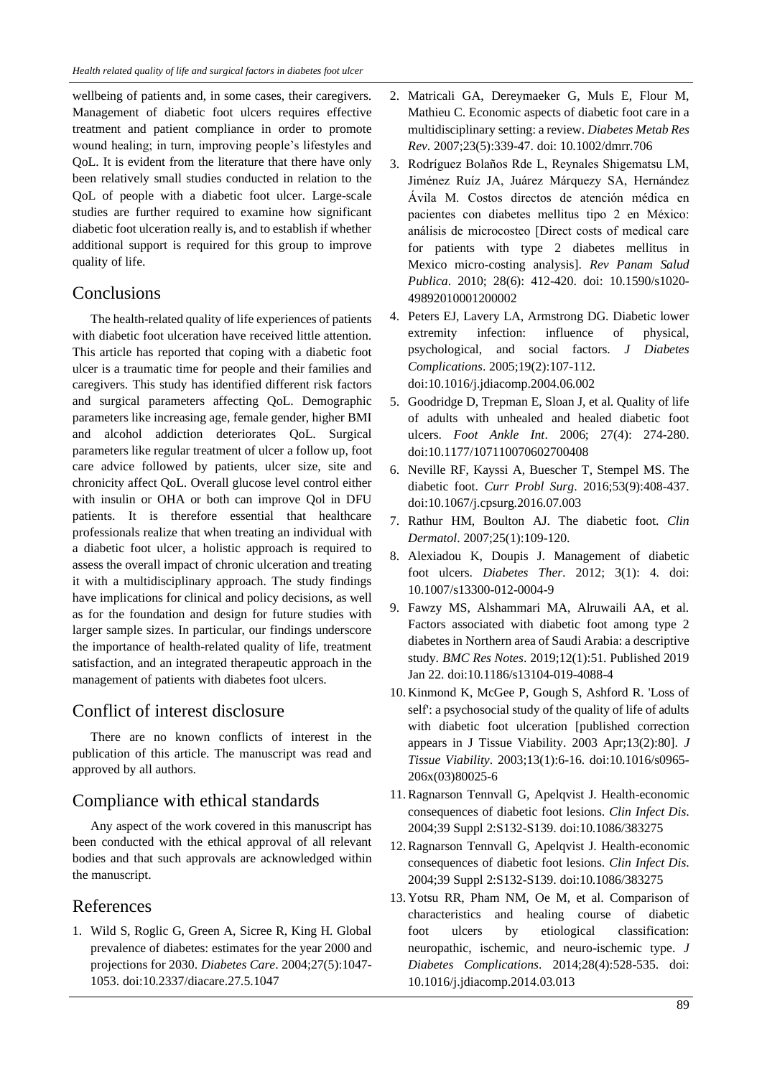wellbeing of patients and, in some cases, their caregivers. Management of diabetic foot ulcers requires effective treatment and patient compliance in order to promote wound healing; in turn, improving people's lifestyles and QoL. It is evident from the literature that there have only been relatively small studies conducted in relation to the QoL of people with a diabetic foot ulcer. Large-scale studies are further required to examine how significant diabetic foot ulceration really is, and to establish if whether additional support is required for this group to improve quality of life.

## **Conclusions**

The health-related quality of life experiences of patients with diabetic foot ulceration have received little attention. This article has reported that coping with a diabetic foot ulcer is a traumatic time for people and their families and caregivers. This study has identified different risk factors and surgical parameters affecting QoL. Demographic parameters like increasing age, female gender, higher BMI and alcohol addiction deteriorates QoL. Surgical parameters like regular treatment of ulcer a follow up, foot care advice followed by patients, ulcer size, site and chronicity affect QoL. Overall glucose level control either with insulin or OHA or both can improve Qol in DFU patients. It is therefore essential that healthcare professionals realize that when treating an individual with a diabetic foot ulcer, a holistic approach is required to assess the overall impact of chronic ulceration and treating it with a multidisciplinary approach. The study findings have implications for clinical and policy decisions, as well as for the foundation and design for future studies with larger sample sizes. In particular, our findings underscore the importance of health-related quality of life, treatment satisfaction, and an integrated therapeutic approach in the management of patients with diabetes foot ulcers.

# Conflict of interest disclosure

There are no known conflicts of interest in the publication of this article. The manuscript was read and approved by all authors.

# Compliance with ethical standards

Any aspect of the work covered in this manuscript has been conducted with the ethical approval of all relevant bodies and that such approvals are acknowledged within the manuscript.

# References

1. Wild S, Roglic G, Green A, Sicree R, King H. Global prevalence of diabetes: estimates for the year 2000 and projections for 2030. *Diabetes Care*. 2004;27(5):1047- 1053. doi:10.2337/diacare.27.5.1047

- 2. Matricali GA, Dereymaeker G, Muls E, Flour M, Mathieu C. Economic aspects of diabetic foot care in a multidisciplinary setting: a review. *Diabetes Metab Res Rev*. 2007;23(5):339-47. doi: 10.1002/dmrr.706
- 3. Rodríguez Bolaños Rde L, Reynales Shigematsu LM, Jiménez Ruíz JA, Juárez Márquezy SA, Hernández Ávila M. Costos directos de atención médica en pacientes con diabetes mellitus tipo 2 en México: análisis de microcosteo [Direct costs of medical care for patients with type 2 diabetes mellitus in Mexico micro-costing analysis]. *Rev Panam Salud Publica*. 2010; 28(6): 412-420. doi: 10.1590/s1020- 49892010001200002
- 4. Peters EJ, Lavery LA, Armstrong DG. Diabetic lower extremity infection: influence of physical, psychological, and social factors. *J Diabetes Complications*. 2005;19(2):107-112. doi:10.1016/j.jdiacomp.2004.06.002
- 5. Goodridge D, Trepman E, Sloan J, et al. Quality of life of adults with unhealed and healed diabetic foot ulcers. *Foot Ankle Int*. 2006; 27(4): 274-280. doi:10.1177/107110070602700408
- 6. Neville RF, Kayssi A, Buescher T, Stempel MS. The diabetic foot. *Curr Probl Surg*. 2016;53(9):408-437. doi:10.1067/j.cpsurg.2016.07.003
- 7. Rathur HM, Boulton AJ. The diabetic foot. *Clin Dermatol*. 2007;25(1):109-120.
- 8. Alexiadou K, Doupis J. Management of diabetic foot ulcers. *Diabetes Ther*. 2012; 3(1): 4. doi: 10.1007/s13300-012-0004-9
- 9. Fawzy MS, Alshammari MA, Alruwaili AA, et al. Factors associated with diabetic foot among type 2 diabetes in Northern area of Saudi Arabia: a descriptive study. *BMC Res Notes*. 2019;12(1):51. Published 2019 Jan 22. doi:10.1186/s13104-019-4088-4
- 10. Kinmond K, McGee P, Gough S, Ashford R. 'Loss of self': a psychosocial study of the quality of life of adults with diabetic foot ulceration [published correction appears in J Tissue Viability. 2003 Apr;13(2):80]. *J Tissue Viability*. 2003;13(1):6-16. doi:10.1016/s0965- 206x(03)80025-6
- 11. Ragnarson Tennvall G, Apelqvist J. Health-economic consequences of diabetic foot lesions. *Clin Infect Dis*. 2004;39 Suppl 2:S132-S139. doi:10.1086/383275
- 12. Ragnarson Tennvall G, Apelqvist J. Health-economic consequences of diabetic foot lesions. *Clin Infect Dis*. 2004;39 Suppl 2:S132-S139. doi:10.1086/383275
- 13. Yotsu RR, Pham NM, Oe M, et al. Comparison of characteristics and healing course of diabetic foot ulcers by etiological classification: neuropathic, ischemic, and neuro-ischemic type. *J Diabetes Complications*. 2014;28(4):528-535. doi: 10.1016/j.jdiacomp.2014.03.013